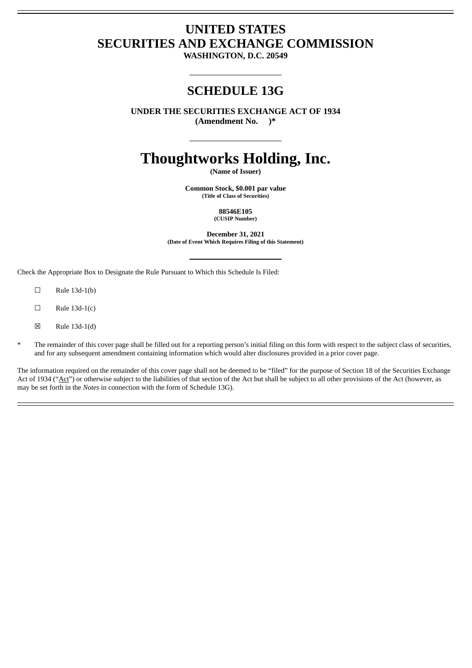# **UNITED STATES SECURITIES AND EXCHANGE COMMISSION**

**WASHINGTON, D.C. 20549**

# **SCHEDULE 13G**

**UNDER THE SECURITIES EXCHANGE ACT OF 1934 (Amendment No. )\***

# **Thoughtworks Holding, Inc.**

**(Name of Issuer)**

**Common Stock, \$0.001 par value (Title of Class of Securities)**

> **88546E105 (CUSIP Number)**

**December 31, 2021 (Date of Event Which Requires Filing of this Statement)**

Check the Appropriate Box to Designate the Rule Pursuant to Which this Schedule Is Filed:

- $\square$  Rule 13d-1(b)
- $\square$  Rule 13d-1(c)
- $\boxtimes$  Rule 13d-1(d)
- \* The remainder of this cover page shall be filled out for a reporting person's initial filing on this form with respect to the subject class of securities, and for any subsequent amendment containing information which would alter disclosures provided in a prior cover page.

The information required on the remainder of this cover page shall not be deemed to be "filed" for the purpose of Section 18 of the Securities Exchange Act of 1934 ("Act") or otherwise subject to the liabilities of that section of the Act but shall be subject to all other provisions of the Act (however, as may be set forth in the *Notes* in connection with the form of Schedule 13G).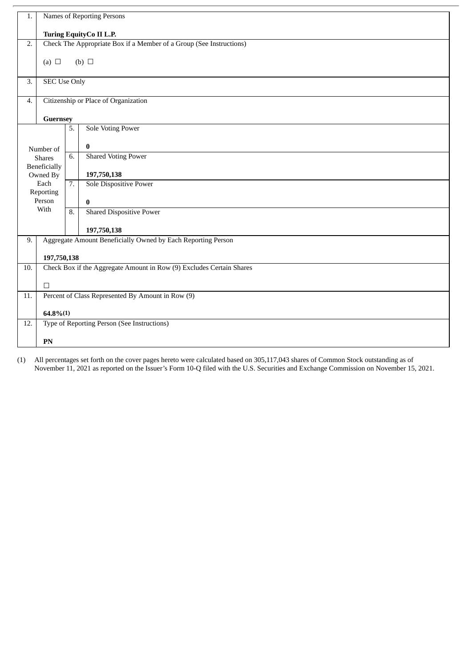| 1.  | Names of Reporting Persons                                           |          |                                                   |  |  |  |
|-----|----------------------------------------------------------------------|----------|---------------------------------------------------|--|--|--|
|     | Turing EquityCo II L.P.                                              |          |                                                   |  |  |  |
| 2.  | Check The Appropriate Box if a Member of a Group (See Instructions)  |          |                                                   |  |  |  |
|     | (a) $\Box$                                                           |          | (b) $\Box$                                        |  |  |  |
|     |                                                                      |          |                                                   |  |  |  |
| 3.  | <b>SEC Use Only</b>                                                  |          |                                                   |  |  |  |
| 4.  | Citizenship or Place of Organization                                 |          |                                                   |  |  |  |
|     |                                                                      | Guernsey |                                                   |  |  |  |
|     |                                                                      | 5.       | <b>Sole Voting Power</b>                          |  |  |  |
|     | Number of                                                            |          | $\bf{0}$                                          |  |  |  |
|     | <b>Shares</b>                                                        | 6.       | <b>Shared Voting Power</b>                        |  |  |  |
|     | <b>Beneficially</b><br>Owned By                                      |          | 197,750,138                                       |  |  |  |
|     | Each                                                                 | 7.       | <b>Sole Dispositive Power</b>                     |  |  |  |
|     | Reporting<br>Person                                                  |          | $\bf{0}$                                          |  |  |  |
|     | With                                                                 |          | <b>Shared Dispositive Power</b>                   |  |  |  |
|     |                                                                      |          | 197,750,138                                       |  |  |  |
| 9.  | Aggregate Amount Beneficially Owned by Each Reporting Person         |          |                                                   |  |  |  |
|     | 197,750,138                                                          |          |                                                   |  |  |  |
| 10. | Check Box if the Aggregate Amount in Row (9) Excludes Certain Shares |          |                                                   |  |  |  |
|     | $\Box$                                                               |          |                                                   |  |  |  |
| 11. |                                                                      |          | Percent of Class Represented By Amount in Row (9) |  |  |  |
|     | $64.8\%(1)$                                                          |          |                                                   |  |  |  |
| 12. |                                                                      |          | Type of Reporting Person (See Instructions)       |  |  |  |
|     | PN                                                                   |          |                                                   |  |  |  |

(1) All percentages set forth on the cover pages hereto were calculated based on 305,117,043 shares of Common Stock outstanding as of November 11, 2021 as reported on the Issuer's Form 10-Q filed with the U.S. Securities and Exchange Commission on November 15, 2021.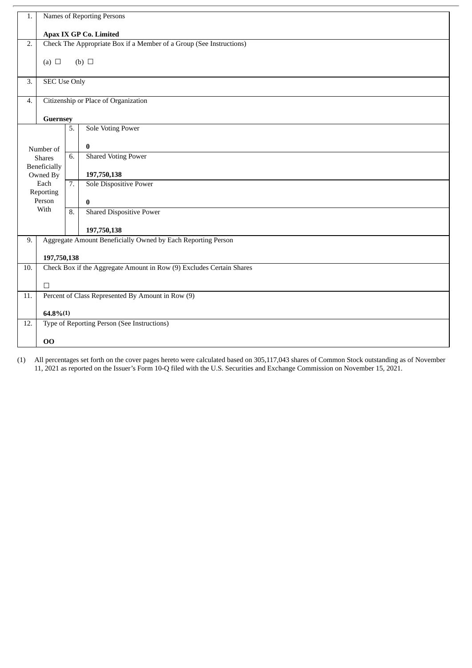| 1.  | Names of Reporting Persons                                          |                  |                                                                      |  |  |
|-----|---------------------------------------------------------------------|------------------|----------------------------------------------------------------------|--|--|
|     | Apax IX GP Co. Limited                                              |                  |                                                                      |  |  |
| 2.  | Check The Appropriate Box if a Member of a Group (See Instructions) |                  |                                                                      |  |  |
|     |                                                                     |                  |                                                                      |  |  |
|     | (a) $\Box$<br>(b) $\Box$                                            |                  |                                                                      |  |  |
| 3.  |                                                                     |                  |                                                                      |  |  |
|     | <b>SEC Use Only</b>                                                 |                  |                                                                      |  |  |
| 4.  | Citizenship or Place of Organization                                |                  |                                                                      |  |  |
|     |                                                                     |                  |                                                                      |  |  |
|     | Guernsey                                                            | 5.               | <b>Sole Voting Power</b>                                             |  |  |
|     |                                                                     |                  |                                                                      |  |  |
|     | Number of                                                           |                  | $\bf{0}$                                                             |  |  |
|     | <b>Shares</b>                                                       | 6.               | <b>Shared Voting Power</b>                                           |  |  |
|     | <b>Beneficially</b>                                                 |                  |                                                                      |  |  |
|     | Owned By                                                            |                  | 197,750,138                                                          |  |  |
|     | Each<br>Reporting                                                   | $\overline{7}$ . | <b>Sole Dispositive Power</b>                                        |  |  |
|     | Person                                                              |                  | $\bf{0}$                                                             |  |  |
|     | With                                                                | 8.               | <b>Shared Dispositive Power</b>                                      |  |  |
|     |                                                                     |                  |                                                                      |  |  |
|     |                                                                     |                  | 197,750,138                                                          |  |  |
| 9.  |                                                                     |                  | Aggregate Amount Beneficially Owned by Each Reporting Person         |  |  |
|     | 197,750,138                                                         |                  |                                                                      |  |  |
| 10. |                                                                     |                  | Check Box if the Aggregate Amount in Row (9) Excludes Certain Shares |  |  |
|     | $\Box$                                                              |                  |                                                                      |  |  |
| 11. |                                                                     |                  | Percent of Class Represented By Amount in Row (9)                    |  |  |
|     |                                                                     |                  |                                                                      |  |  |
|     | $64.8\%(1)$                                                         |                  |                                                                      |  |  |
| 12. |                                                                     |                  | Type of Reporting Person (See Instructions)                          |  |  |
|     | 00                                                                  |                  |                                                                      |  |  |
|     |                                                                     |                  |                                                                      |  |  |

(1) All percentages set forth on the cover pages hereto were calculated based on 305,117,043 shares of Common Stock outstanding as of November 11, 2021 as reported on the Issuer's Form 10-Q filed with the U.S. Securities and Exchange Commission on November 15, 2021.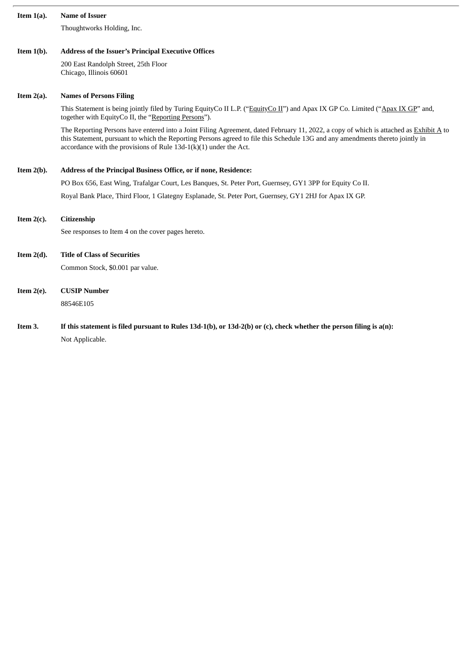| Item $1(a)$ . | <b>Name of Issuer</b>                                                                                                                                                                                                                                                                                                                           |
|---------------|-------------------------------------------------------------------------------------------------------------------------------------------------------------------------------------------------------------------------------------------------------------------------------------------------------------------------------------------------|
|               | Thoughtworks Holding, Inc.                                                                                                                                                                                                                                                                                                                      |
|               |                                                                                                                                                                                                                                                                                                                                                 |
| Item $1(b)$ . | <b>Address of the Issuer's Principal Executive Offices</b>                                                                                                                                                                                                                                                                                      |
|               | 200 East Randolph Street, 25th Floor<br>Chicago, Illinois 60601                                                                                                                                                                                                                                                                                 |
| Item $2(a)$ . | <b>Names of Persons Filing</b>                                                                                                                                                                                                                                                                                                                  |
|               | This Statement is being jointly filed by Turing EquityCo II L.P. ("EquityCo II") and Apax IX GP Co. Limited ("Apax IX GP" and,<br>together with EquityCo II, the "Reporting Persons").                                                                                                                                                          |
|               | The Reporting Persons have entered into a Joint Filing Agreement, dated February 11, 2022, a copy of which is attached as Exhibit A to<br>this Statement, pursuant to which the Reporting Persons agreed to file this Schedule 13G and any amendments thereto jointly in<br>accordance with the provisions of Rule $13d-1(k)(1)$ under the Act. |
| Item $2(b)$ . | Address of the Principal Business Office, or if none, Residence:                                                                                                                                                                                                                                                                                |
|               | PO Box 656, East Wing, Trafalgar Court, Les Banques, St. Peter Port, Guernsey, GY1 3PP for Equity Co II.                                                                                                                                                                                                                                        |
|               | Royal Bank Place, Third Floor, 1 Glategny Esplanade, St. Peter Port, Guernsey, GY1 2HJ for Apax IX GP.                                                                                                                                                                                                                                          |
| Item $2(c)$ . | Citizenship                                                                                                                                                                                                                                                                                                                                     |
|               | See responses to Item 4 on the cover pages hereto.                                                                                                                                                                                                                                                                                              |
| Item $2(d)$ . | <b>Title of Class of Securities</b>                                                                                                                                                                                                                                                                                                             |
|               | Common Stock, \$0.001 par value.                                                                                                                                                                                                                                                                                                                |
| Item $2(e)$ . | <b>CUSIP Number</b>                                                                                                                                                                                                                                                                                                                             |
|               | 88546E105                                                                                                                                                                                                                                                                                                                                       |

Item 3. If this statement is filed pursuant to Rules 13d-1(b), or 13d-2(b) or (c), check whether the person filing is a(n): Not Applicable.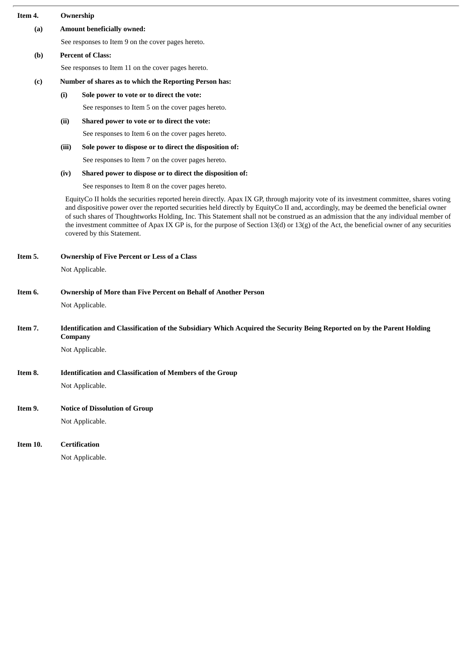| Item 4.  | Ownership                                                                                                                                                                                                                                                                                                                                                                                                                                                                                                                                                                                        |                                                                  |  |  |  |
|----------|--------------------------------------------------------------------------------------------------------------------------------------------------------------------------------------------------------------------------------------------------------------------------------------------------------------------------------------------------------------------------------------------------------------------------------------------------------------------------------------------------------------------------------------------------------------------------------------------------|------------------------------------------------------------------|--|--|--|
| (a)      | <b>Amount beneficially owned:</b>                                                                                                                                                                                                                                                                                                                                                                                                                                                                                                                                                                |                                                                  |  |  |  |
|          |                                                                                                                                                                                                                                                                                                                                                                                                                                                                                                                                                                                                  | See responses to Item 9 on the cover pages hereto.               |  |  |  |
| (b)      | <b>Percent of Class:</b>                                                                                                                                                                                                                                                                                                                                                                                                                                                                                                                                                                         |                                                                  |  |  |  |
|          | See responses to Item 11 on the cover pages hereto.                                                                                                                                                                                                                                                                                                                                                                                                                                                                                                                                              |                                                                  |  |  |  |
| (c)      | Number of shares as to which the Reporting Person has:                                                                                                                                                                                                                                                                                                                                                                                                                                                                                                                                           |                                                                  |  |  |  |
|          | (i)                                                                                                                                                                                                                                                                                                                                                                                                                                                                                                                                                                                              | Sole power to vote or to direct the vote:                        |  |  |  |
|          |                                                                                                                                                                                                                                                                                                                                                                                                                                                                                                                                                                                                  | See responses to Item 5 on the cover pages hereto.               |  |  |  |
|          | (ii)                                                                                                                                                                                                                                                                                                                                                                                                                                                                                                                                                                                             | Shared power to vote or to direct the vote:                      |  |  |  |
|          |                                                                                                                                                                                                                                                                                                                                                                                                                                                                                                                                                                                                  | See responses to Item 6 on the cover pages hereto.               |  |  |  |
|          | (iii)                                                                                                                                                                                                                                                                                                                                                                                                                                                                                                                                                                                            | Sole power to dispose or to direct the disposition of:           |  |  |  |
|          |                                                                                                                                                                                                                                                                                                                                                                                                                                                                                                                                                                                                  | See responses to Item 7 on the cover pages hereto.               |  |  |  |
|          | (iv)                                                                                                                                                                                                                                                                                                                                                                                                                                                                                                                                                                                             | Shared power to dispose or to direct the disposition of:         |  |  |  |
|          |                                                                                                                                                                                                                                                                                                                                                                                                                                                                                                                                                                                                  | See responses to Item 8 on the cover pages hereto.               |  |  |  |
|          | EquityCo II holds the securities reported herein directly. Apax IX GP, through majority vote of its investment committee, shares voting<br>and dispositive power over the reported securities held directly by EquityCo II and, accordingly, may be deemed the beneficial owner<br>of such shares of Thoughtworks Holding, Inc. This Statement shall not be construed as an admission that the any individual member of<br>the investment committee of Apax IX GP is, for the purpose of Section 13(d) or 13(g) of the Act, the beneficial owner of any securities<br>covered by this Statement. |                                                                  |  |  |  |
| Item 5.  | <b>Ownership of Five Percent or Less of a Class</b>                                                                                                                                                                                                                                                                                                                                                                                                                                                                                                                                              |                                                                  |  |  |  |
|          |                                                                                                                                                                                                                                                                                                                                                                                                                                                                                                                                                                                                  | Not Applicable.                                                  |  |  |  |
| Item 6.  | <b>Ownership of More than Five Percent on Behalf of Another Person</b>                                                                                                                                                                                                                                                                                                                                                                                                                                                                                                                           |                                                                  |  |  |  |
|          |                                                                                                                                                                                                                                                                                                                                                                                                                                                                                                                                                                                                  | Not Applicable.                                                  |  |  |  |
| Item 7.  | Identification and Classification of the Subsidiary Which Acquired the Security Being Reported on by the Parent Holding<br>Company                                                                                                                                                                                                                                                                                                                                                                                                                                                               |                                                                  |  |  |  |
|          |                                                                                                                                                                                                                                                                                                                                                                                                                                                                                                                                                                                                  | Not Applicable.                                                  |  |  |  |
| Item 8.  |                                                                                                                                                                                                                                                                                                                                                                                                                                                                                                                                                                                                  | <b>Identification and Classification of Members of the Group</b> |  |  |  |
|          |                                                                                                                                                                                                                                                                                                                                                                                                                                                                                                                                                                                                  | Not Applicable.                                                  |  |  |  |
| Item 9.  |                                                                                                                                                                                                                                                                                                                                                                                                                                                                                                                                                                                                  | <b>Notice of Dissolution of Group</b>                            |  |  |  |
|          |                                                                                                                                                                                                                                                                                                                                                                                                                                                                                                                                                                                                  | Not Applicable.                                                  |  |  |  |
| Item 10. |                                                                                                                                                                                                                                                                                                                                                                                                                                                                                                                                                                                                  | <b>Certification</b>                                             |  |  |  |
|          |                                                                                                                                                                                                                                                                                                                                                                                                                                                                                                                                                                                                  | Not Applicable.                                                  |  |  |  |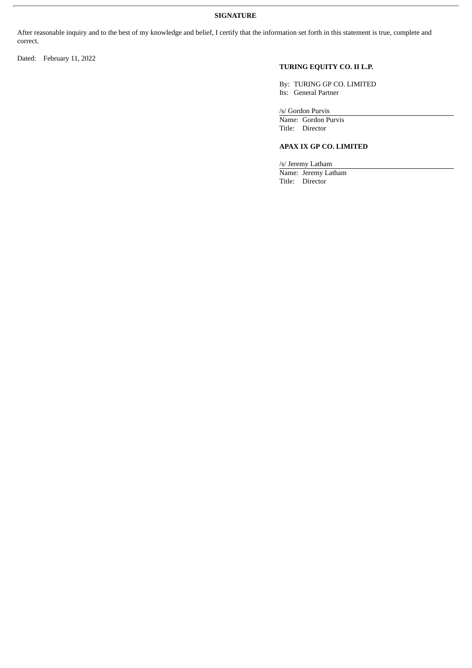## **SIGNATURE**

After reasonable inquiry and to the best of my knowledge and belief, I certify that the information set forth in this statement is true, complete and correct.

Dated: February 11, 2022

# **TURING EQUITY CO. II L.P.**

By: TURING GP CO. LIMITED Its: General Partner

/s/ Gordon Purvis

Name: Gordon Purvis Title: Director

### **APAX IX GP CO. LIMITED**

/s/ Jeremy Latham Name: Jeremy Latham Title: Director